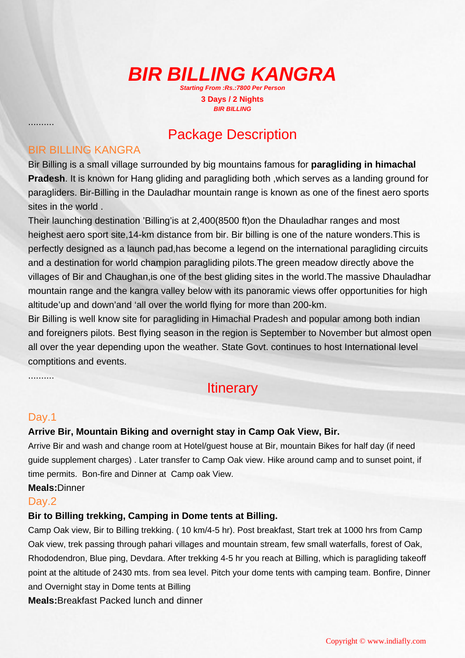# **BIR BILLING KANGRA**

**Starting From :Rs.:7800 Per Person 3 Days / 2 Nights BIR BILLING** 

# Package Description

#### BIR BILLING KANGRA

..........

Bir Billing is a small village surrounded by big mountains famous for **paragliding in himachal Pradesh**. It is known for Hang gliding and paragliding both ,which serves as a landing ground for paragliders. Bir-Billing in the Dauladhar mountain range is known as one of the finest aero sports sites in the world .

Their launching destination 'Billing'is at 2,400(8500 ft)on the Dhauladhar ranges and most heighest aero sport site,14-km distance from bir. Bir billing is one of the nature wonders.This is perfectly designed as a launch pad,has become a legend on the international paragliding circuits and a destination for world champion paragliding pilots.The green meadow directly above the villages of Bir and Chaughan,is one of the best gliding sites in the world.The massive Dhauladhar mountain range and the kangra valley below with its panoramic views offer opportunities for high altitude'up and down'and 'all over the world flying for more than 200-km.

Bir Billing is well know site for paragliding in Himachal Pradesh and popular among both indian and foreigners pilots. Best flying season in the region is September to November but almost open all over the year depending upon the weather. State Govt. continues to host International level comptitions and events.

..........

# **Itinerary**

#### Day.1

#### **Arrive Bir, Mountain Biking and overnight stay in Camp Oak View, Bir.**

Arrive Bir and wash and change room at Hotel/guest house at Bir, mountain Bikes for half day (if need guide supplement charges) . Later transfer to Camp Oak view. Hike around camp and to sunset point, if time permits. Bon-fire and Dinner at Camp oak View.

**Meals:**Dinner

#### Day.<sub>2</sub>

#### **Bir to Billing trekking, Camping in Dome tents at Billing.**

Camp Oak view, Bir to Billing trekking. ( 10 km/4-5 hr). Post breakfast, Start trek at 1000 hrs from Camp Oak view, trek passing through pahari villages and mountain stream, few small waterfalls, forest of Oak, Rhododendron, Blue ping, Devdara. After trekking 4-5 hr you reach at Billing, which is paragliding takeoff point at the altitude of 2430 mts. from sea level. Pitch your dome tents with camping team. Bonfire, Dinner and Overnight stay in Dome tents at Billing

**Meals:**Breakfast Packed lunch and dinner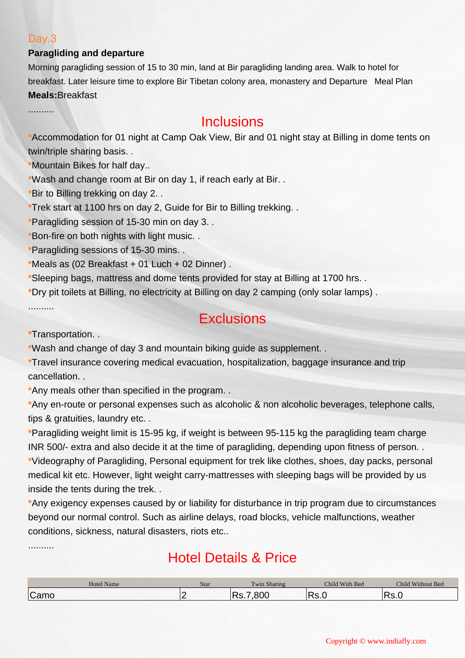#### Day.3

#### **Paragliding and departure**

Morning paragliding session of 15 to 30 min, land at Bir paragliding landing area. Walk to hotel for breakfast. Later leisure time to explore Bir Tibetan colony area, monastery and Departure Meal Plan **Meals:**Breakfast

..........

### **Inclusions**

**\***Accommodation for 01 night at Camp Oak View, Bir and 01 night stay at Billing in dome tents on twin/triple sharing basis. .

**\***Mountain Bikes for half day..

**\***Wash and change room at Bir on day 1, if reach early at Bir. .

**\***Bir to Billing trekking on day 2. .

**\***Trek start at 1100 hrs on day 2, Guide for Bir to Billing trekking. .

**\***Paragliding session of 15-30 min on day 3. .

**\***Bon-fire on both nights with light music. .

**\***Paragliding sessions of 15-30 mins. .

**\***Meals as (02 Breakfast + 01 Luch + 02 Dinner) .

**\***Sleeping bags, mattress and dome tents provided for stay at Billing at 1700 hrs. .

**\***Dry pit toilets at Billing, no electricity at Billing on day 2 camping (only solar lamps) .

..........

..........

### **Exclusions**

**\***Transportation. .

**\***Wash and change of day 3 and mountain biking guide as supplement. .

**\***Travel insurance covering medical evacuation, hospitalization, baggage insurance and trip cancellation. .

**\***Any meals other than specified in the program. .

**\***Any en-route or personal expenses such as alcoholic & non alcoholic beverages, telephone calls, tips & gratuities, laundry etc...

**\***Paragliding weight limit is 15-95 kg, if weight is between 95-115 kg the paragliding team charge INR 500/- extra and also decide it at the time of paragliding, depending upon fitness of person. . **\***Videography of Paragliding, Personal equipment for trek like clothes, shoes, day packs, personal medical kit etc. However, light weight carry-mattresses with sleeping bags will be provided by us inside the tents during the trek. .

**\***Any exigency expenses caused by or liability for disturbance in trip program due to circumstances beyond our normal control. Such as airline delays, road blocks, vehicle malfunctions, weather conditions, sickness, natural disasters, riots etc..

# Hotel Details & Price

| <b>Hotel Name</b> | Stai | <b>CONTINUES</b><br><b>Fwin Sharing</b> | Child With Bed | Child Without Bed |
|-------------------|------|-----------------------------------------|----------------|-------------------|
| $\sim$<br>Camc    |      | ממר<br>D-                               | 10.U           | . J. J            |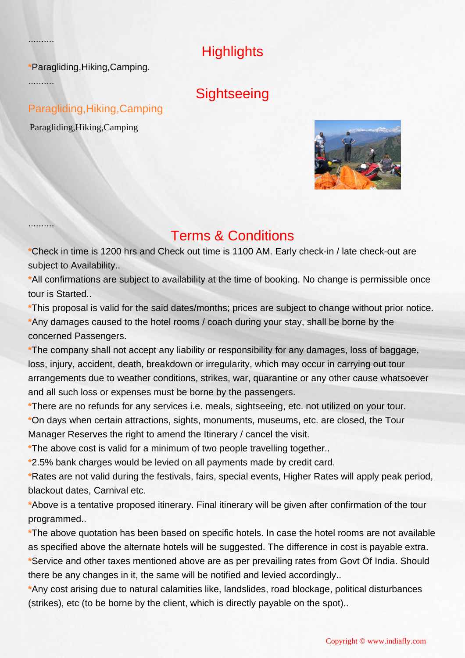**Highlights** 

**\***Paragliding,Hiking,Camping.

..........

..........

..........

**Sightseeing** 

### Paragliding,Hiking,Camping

Paragliding,Hiking,Camping



## Terms & Conditions

**\***Check in time is 1200 hrs and Check out time is 1100 AM. Early check-in / late check-out are subject to Availability..

**\***All confirmations are subject to availability at the time of booking. No change is permissible once tour is Started..

**\***This proposal is valid for the said dates/months; prices are subject to change without prior notice. **\***Any damages caused to the hotel rooms / coach during your stay, shall be borne by the concerned Passengers.

**\***The company shall not accept any liability or responsibility for any damages, loss of baggage, loss, injury, accident, death, breakdown or irregularity, which may occur in carrying out tour arrangements due to weather conditions, strikes, war, quarantine or any other cause whatsoever and all such loss or expenses must be borne by the passengers.

**\***There are no refunds for any services i.e. meals, sightseeing, etc. not utilized on your tour. **\***On days when certain attractions, sights, monuments, museums, etc. are closed, the Tour Manager Reserves the right to amend the Itinerary / cancel the visit.

**\***The above cost is valid for a minimum of two people travelling together..

**\***2.5% bank charges would be levied on all payments made by credit card.

**\***Rates are not valid during the festivals, fairs, special events, Higher Rates will apply peak period, blackout dates, Carnival etc.

**\***Above is a tentative proposed itinerary. Final itinerary will be given after confirmation of the tour programmed..

**\***The above quotation has been based on specific hotels. In case the hotel rooms are not available as specified above the alternate hotels will be suggested. The difference in cost is payable extra. **\***Service and other taxes mentioned above are as per prevailing rates from Govt Of India. Should there be any changes in it, the same will be notified and levied accordingly..

**\***Any cost arising due to natural calamities like, landslides, road blockage, political disturbances (strikes), etc (to be borne by the client, which is directly payable on the spot)..